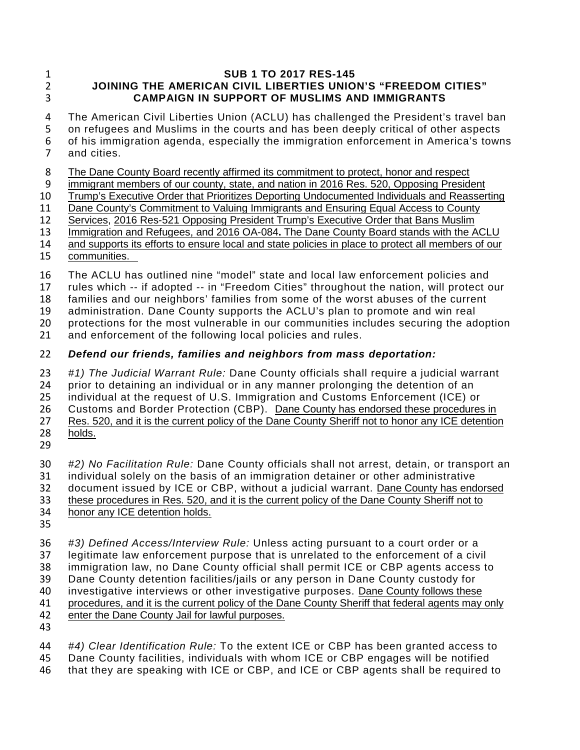#### 1 **SUB 1 TO 2017 RES-145** 2 **JOINING THE AMERICAN CIVIL LIBERTIES UNION'S "FREEDOM CITIES"**  3 **CAMPAIGN IN SUPPORT OF MUSLIMS AND IMMIGRANTS**

 The American Civil Liberties Union (ACLU) has challenged the President's travel ban on refugees and Muslims in the courts and has been deeply critical of other aspects of his immigration agenda, especially the immigration enforcement in America's towns and cities.

8 The Dane County Board recently affirmed its commitment to protect, honor and respect<br>9 immigrant members of our county, state, and nation in 2016 Res. 520, Opposing Preside

9 immigrant members of our county, state, and nation in 2016 Res. 520, Opposing President<br>10 Trump's Executive Order that Prioritizes Deporting Undocumented Individuals and Reasser

10 Trump's Executive Order that Prioritizes Deporting Undocumented Individuals and Reasserting<br>11 Dane County's Commitment to Valuing Immigrants and Ensuring Equal Access to County

Dane County's Commitment to Valuing Immigrants and Ensuring Equal Access to County 12 Services, 2016 Res-521 Opposing President Trump's Executive Order that Bans Muslim

13 Immigration and Refugees, and 2016 OA-084**.** The Dane County Board stands with the ACLU

14 and supports its efforts to ensure local and state policies in place to protect all members of our

15 communities.

16 The ACLU has outlined nine "model" state and local law enforcement policies and<br>17 Trules which -- if adopted -- in "Freedom Cities" throughout the nation, will protect o

17 rules which -- if adopted -- in "Freedom Cities" throughout the nation, will protect our<br>18 families and our neighbors' families from some of the worst abuses of the current

families and our neighbors' families from some of the worst abuses of the current

19 administration. Dane County supports the ACLU's plan to promote and win real<br>20 protections for the most vulnerable in our communities includes securing the ad

20 protections for the most vulnerable in our communities includes securing the adoption

21 and enforcement of the following local policies and rules.

# 22 *Defend our friends, families and neighbors from mass deportation:*

23 *#1) The Judicial Warrant Rule:* Dane County officials shall require a judicial warrant 24 prior to detaining an individual or in any manner prolonging the detention of an<br>25 individual at the request of U.S. Immigration and Customs Enforcement (ICE) or 25 individual at the request of U.S. Immigration and Customs Enforcement (ICE) or<br>26 Customs and Border Protection (CBP). Dane County has endorsed these procedures

26 Customs and Border Protection (CBP). Dane County has endorsed these procedures in<br>27 Res. 520, and it is the current policy of the Dane County Sheriff not to honor any ICE detention Res. 520, and it is the current policy of the Dane County Sheriff not to honor any ICE detention 28 holds.

29

30 *#2) No Facilitation Rule:* Dane County officials shall not arrest, detain, or transport an 31 individual solely on the basis of an immigration detainer or other administrative 32 document issued by ICE or CBP, without a judicial warrant. Dane County has endorsed<br>33 these procedures in Res. 520, and it is the current policy of the Dane County Sheriff not to these procedures in Res. 520, and it is the current policy of the Dane County Sheriff not to 34 honor any ICE detention holds.

35

36 *#3) Defined Access/Interview Rule:* Unless acting pursuant to a court order or a

37 legitimate law enforcement purpose that is unrelated to the enforcement of a civil

38 immigration law, no Dane County official shall permit ICE or CBP agents access to<br>39 Dane County detention facilities/jails or any person in Dane County custody for

Dane County detention facilities/jails or any person in Dane County custody for

- 40 investigative interviews or other investigative purposes. Dane County follows these
- 41 procedures, and it is the current policy of the Dane County Sheriff that federal agents may only 42 enter the Dane County Jail for lawful purposes. enter the Dane County Jail for lawful purposes.
- 43

44 *#4) Clear Identification Rule:* To the extent ICE or CBP has been granted access to 45 Dane County facilities, individuals with whom ICE or CBP engages will be notified 46 that they are speaking with ICE or CBP, and ICE or CBP agents shall be required to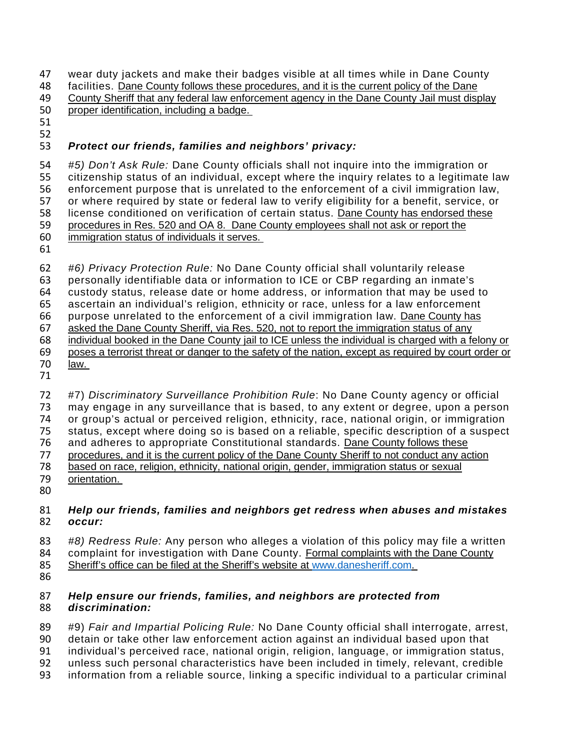47 wear duty jackets and make their badges visible at all times while in Dane County<br>48 facilities. Dane County follows these procedures, and it is the current policy of the Dane facilities. Dane County follows these procedures, and it is the current policy of the Dane 49 County Sheriff that any federal law enforcement agency in the Dane County Jail must display<br>50 proper identification, including a badge. proper identification, including a badge.

- 
- 

## *Protect our friends, families and neighbors' privacy:*

 *#5) Don't Ask Rule:* Dane County officials shall not inquire into the immigration or 55 citizenship status of an individual, except where the inquiry relates to a legitimate law<br>56 enforcement purpose that is unrelated to the enforcement of a civil immigration law. enforcement purpose that is unrelated to the enforcement of a civil immigration law, 57 or where required by state or federal law to verify eligibility for a benefit, service, or<br>58 license conditioned on verification of certain status. Dane County has endorsed these license conditioned on verification of certain status. Dane County has endorsed these procedures in Res. 520 and OA 8. Dane County employees shall not ask or report the immigration status of individuals it serves.

 *#6) Privacy Protection Rule:* No Dane County official shall voluntarily release personally identifiable data or information to ICE or CBP regarding an inmate's custody status, release date or home address, or information that may be used to ascertain an individual's religion, ethnicity or race, unless for a law enforcement purpose unrelated to the enforcement of a civil immigration law. Dane County has asked the Dane County Sheriff, via Res. 520, not to report the immigration status of any individual booked in the Dane County jail to ICE unless the individual is charged with a felony or poses a terrorist threat or danger to the safety of the nation, except as required by court order or law.

 #7) *Discriminatory Surveillance Prohibition Rule*: No Dane County agency or official may engage in any surveillance that is based, to any extent or degree, upon a person or group's actual or perceived religion, ethnicity, race, national origin, or immigration status, except where doing so is based on a reliable, specific description of a suspect and adheres to appropriate Constitutional standards. Dane County follows these procedures, and it is the current policy of the Dane County Sheriff to not conduct any action based on race, religion, ethnicity, national origin, gender, immigration status or sexual orientation.

#### *Help our friends, families and neighbors get redress when abuses and mistakes occur:*

- *#8) Redress Rule:* Any person who alleges a violation of this policy may file a written 84 complaint for investigation with Dane County. Formal complaints with the Dane County<br>85 Sheriff's office can be filed at the Sheriff's website at www.danesheriff.com.
- Sheriff's office can be filed at the Sheriff's website at [www.danesheriff.com.](http://www.danesheriff.com/)
- 

### *Help ensure our friends, families, and neighbors are protected from discrimination:*

- #9) *Fair and Impartial Policing Rule:* No Dane County official shall interrogate, arrest,
- detain or take other law enforcement action against an individual based upon that
- individual's perceived race, national origin, religion, language, or immigration status,
- unless such personal characteristics have been included in timely, relevant, credible
- information from a reliable source, linking a specific individual to a particular criminal